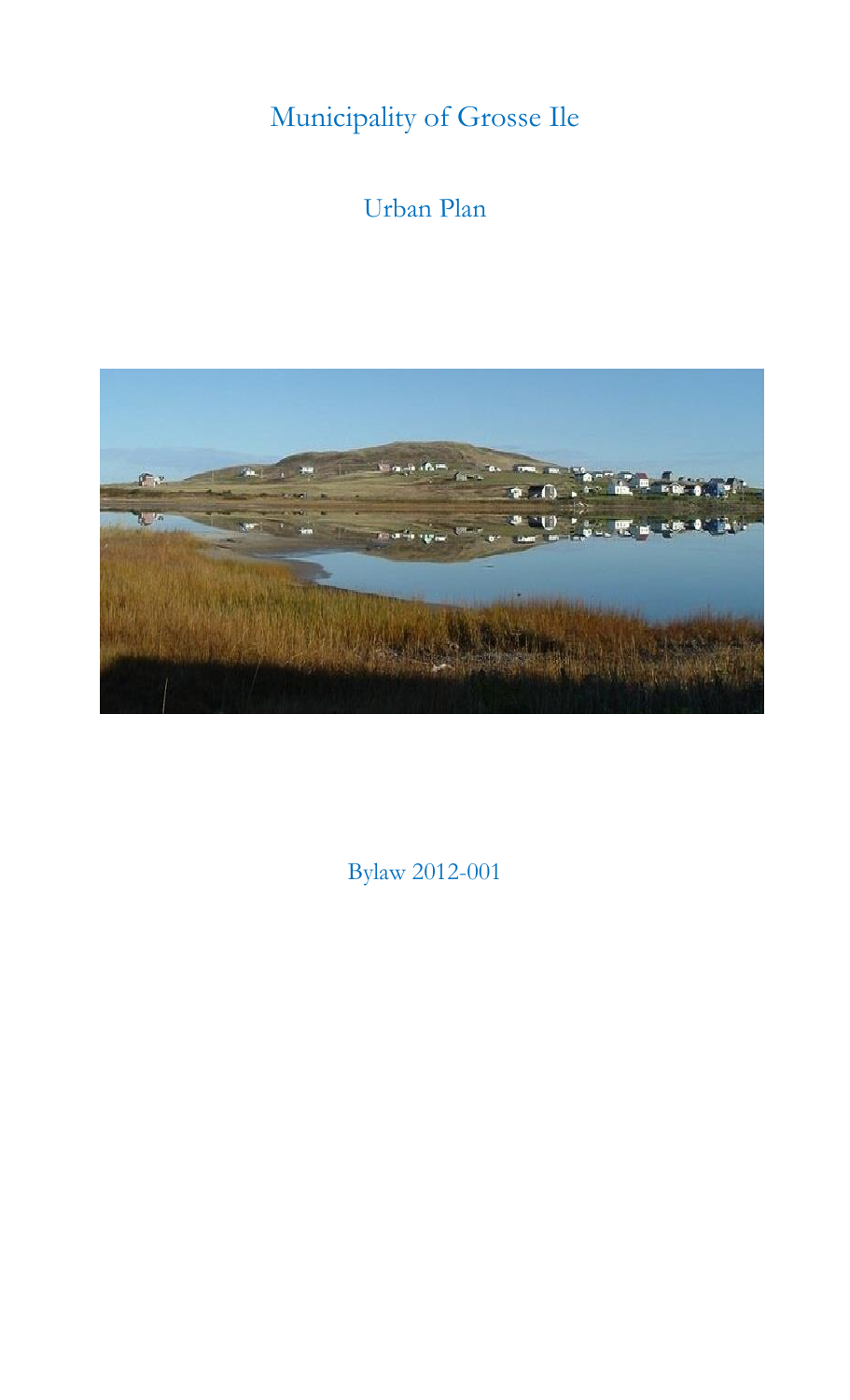Municipality of Grosse Ile

# Urban Plan



Bylaw 2012-001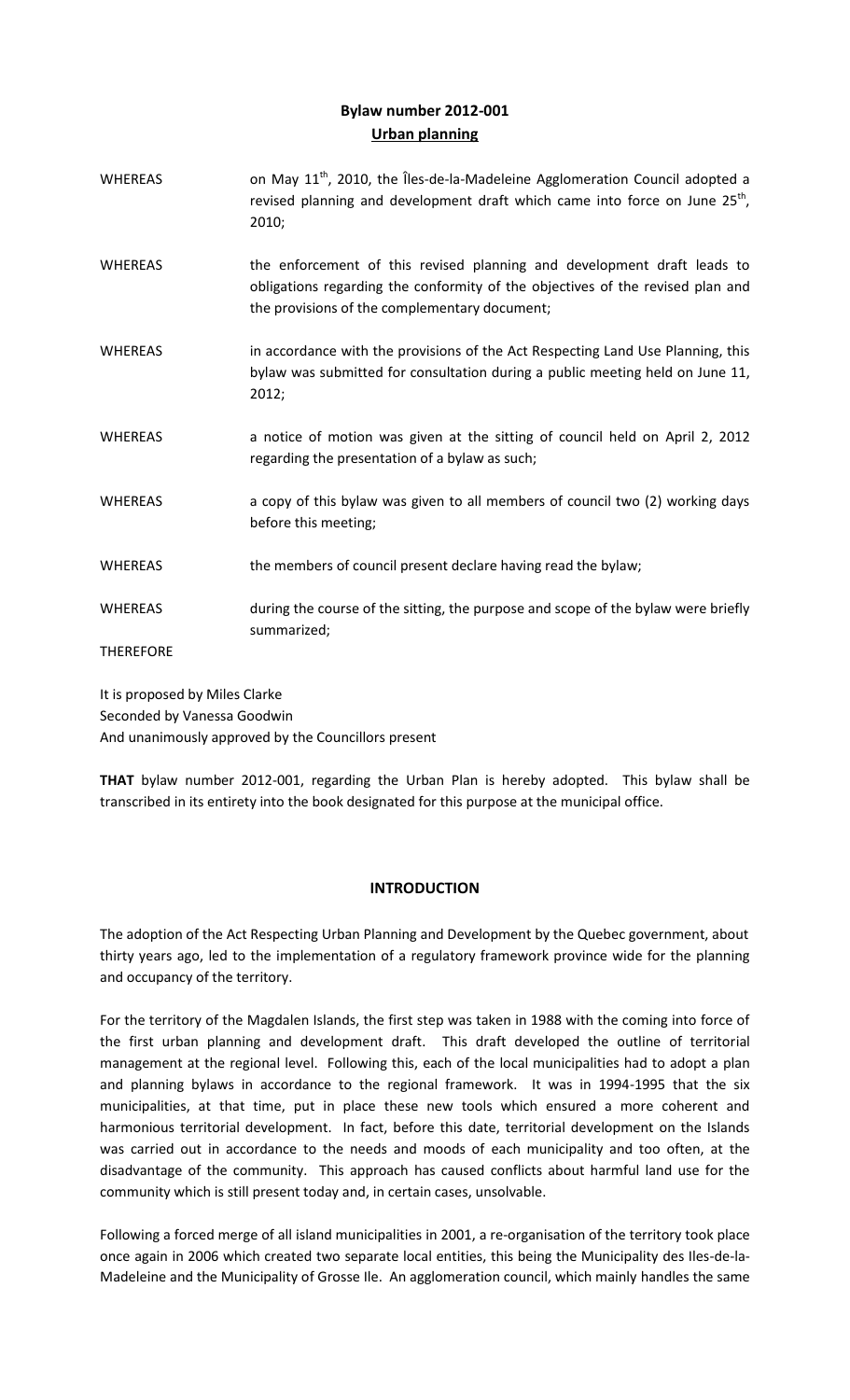# **Bylaw number 2012-001 Urban planning**

WHEREAS on May  $11^{th}$ , 2010, the Îles-de-la-Madeleine Agglomeration Council adopted a revised planning and development draft which came into force on June  $25^{th}$ , 2010; WHEREAS the enforcement of this revised planning and development draft leads to obligations regarding the conformity of the objectives of the revised plan and the provisions of the complementary document; WHEREAS in accordance with the provisions of the Act Respecting Land Use Planning, this bylaw was submitted for consultation during a public meeting held on June 11, 2012; WHEREAS anotice of motion was given at the sitting of council held on April 2, 2012 regarding the presentation of a bylaw as such; WHEREAS a copy of this bylaw was given to all members of council two (2) working days before this meeting; WHEREAS the members of council present declare having read the bylaw; WHEREAS during the course of the sitting, the purpose and scope of the bylaw were briefly summarized; **THEREFORE** 

It is proposed by Miles Clarke Seconded by Vanessa Goodwin And unanimously approved by the Councillors present

**THAT** bylaw number 2012-001, regarding the Urban Plan is hereby adopted. This bylaw shall be transcribed in its entirety into the book designated for this purpose at the municipal office.

# **INTRODUCTION**

The adoption of the Act Respecting Urban Planning and Development by the Quebec government, about thirty years ago, led to the implementation of a regulatory framework province wide for the planning and occupancy of the territory.

For the territory of the Magdalen Islands, the first step was taken in 1988 with the coming into force of the first urban planning and development draft. This draft developed the outline of territorial management at the regional level. Following this, each of the local municipalities had to adopt a plan and planning bylaws in accordance to the regional framework. It was in 1994-1995 that the six municipalities, at that time, put in place these new tools which ensured a more coherent and harmonious territorial development. In fact, before this date, territorial development on the Islands was carried out in accordance to the needs and moods of each municipality and too often, at the disadvantage of the community. This approach has caused conflicts about harmful land use for the community which is still present today and, in certain cases, unsolvable.

Following a forced merge of all island municipalities in 2001, a re-organisation of the territory took place once again in 2006 which created two separate local entities, this being the Municipality des Iles-de-la-Madeleine and the Municipality of Grosse Ile. An agglomeration council, which mainly handles the same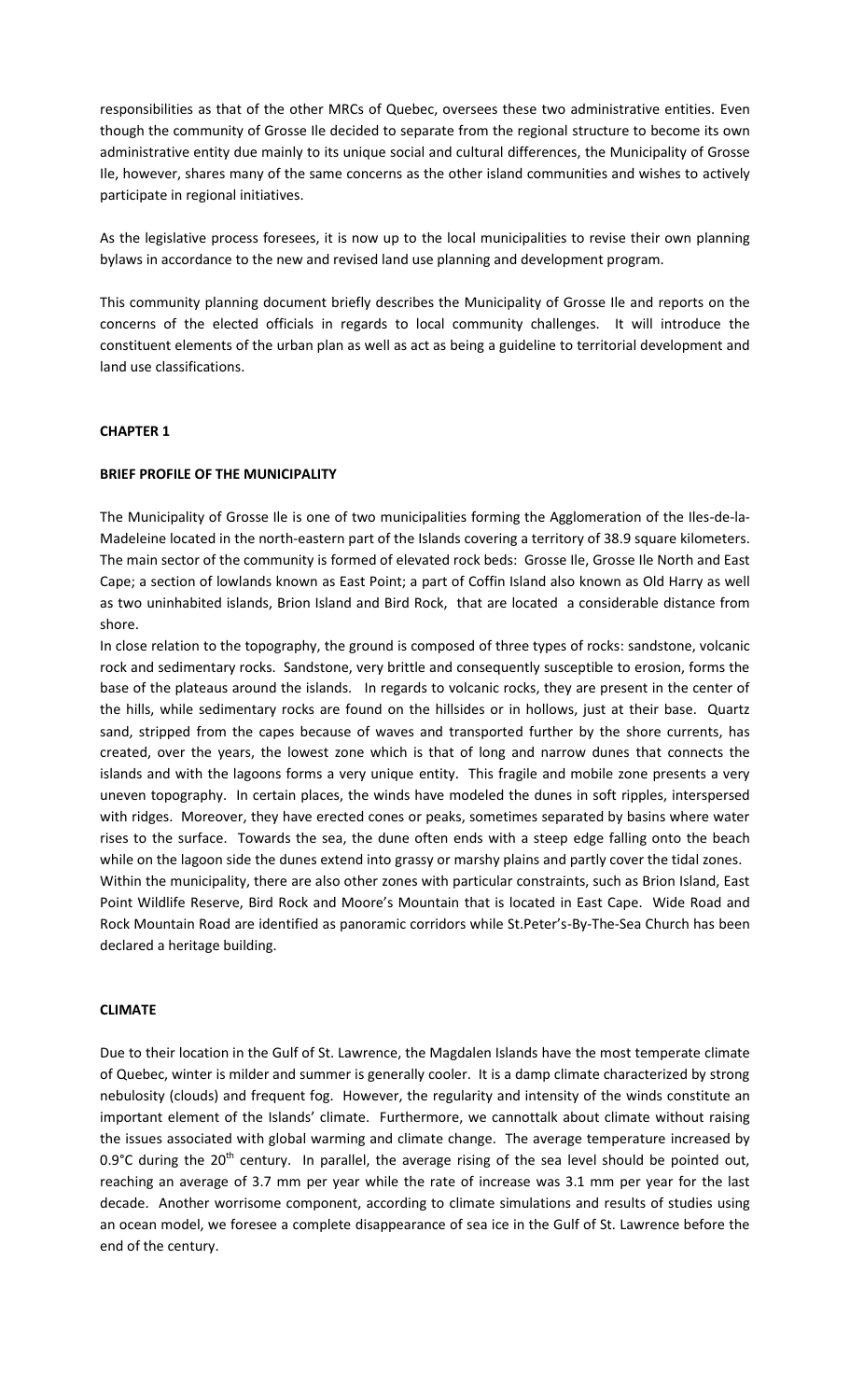responsibilities as that of the other MRCs of Quebec, oversees these two administrative entities. Even though the community of Grosse Ile decided to separate from the regional structure to become its own administrative entity due mainly to its unique social and cultural differences, the Municipality of Grosse Ile, however, shares many of the same concerns as the other island communities and wishes to actively participate in regional initiatives.

As the legislative process foresees, it is now up to the local municipalities to revise their own planning bylaws in accordance to the new and revised land use planning and development program.

This community planning document briefly describes the Municipality of Grosse Ile and reports on the concerns of the elected officials in regards to local community challenges. It will introduce the constituent elements of the urban plan as well as act as being a guideline to territorial development and land use classifications.

## **CHAPTER 1**

#### **BRIEF PROFILE OF THE MUNICIPALITY**

The Municipality of Grosse Ile is one of two municipalities forming the Agglomeration of the Iles-de-la-Madeleine located in the north-eastern part of the Islands covering a territory of 38.9 square kilometers. The main sector of the community is formed of elevated rock beds: Grosse Ile, Grosse Ile North and East Cape; a section of lowlands known as East Point; a part of Coffin Island also known as Old Harry as well as two uninhabited islands, Brion Island and Bird Rock, that are located a considerable distance from shore.

In close relation to the topography, the ground is composed of three types of rocks: sandstone, volcanic rock and sedimentary rocks. Sandstone, very brittle and consequently susceptible to erosion, forms the base of the plateaus around the islands. In regards to volcanic rocks, they are present in the center of the hills, while sedimentary rocks are found on the hillsides or in hollows, just at their base. Quartz sand, stripped from the capes because of waves and transported further by the shore currents, has created, over the years, the lowest zone which is that of long and narrow dunes that connects the islands and with the lagoons forms a very unique entity. This fragile and mobile zone presents a very uneven topography. In certain places, the winds have modeled the dunes in soft ripples, interspersed with ridges. Moreover, they have erected cones or peaks, sometimes separated by basins where water rises to the surface. Towards the sea, the dune often ends with a steep edge falling onto the beach while on the lagoon side the dunes extend into grassy or marshy plains and partly cover the tidal zones. Within the municipality, there are also other zones with particular constraints, such as Brion Island, East Point Wildlife Reserve, Bird Rock and Moore's Mountain that is located in East Cape. Wide Road and Rock Mountain Road are identified as panoramic corridors while St.Peter's-By-The-Sea Church has been declared a heritage building.

#### **CLIMATE**

Due to their location in the Gulf of St. Lawrence, the Magdalen Islands have the most temperate climate of Quebec, winter is milder and summer is generally cooler. It is a damp climate characterized by strong nebulosity (clouds) and frequent fog. However, the regularity and intensity of the winds constitute an important element of the Islands' climate. Furthermore, we cannottalk about climate without raising the issues associated with global warming and climate change. The average temperature increased by 0.9°C during the  $20^{th}$  century. In parallel, the average rising of the sea level should be pointed out, reaching an average of 3.7 mm per year while the rate of increase was 3.1 mm per year for the last decade. Another worrisome component, according to climate simulations and results of studies using an ocean model, we foresee a complete disappearance of sea ice in the Gulf of St. Lawrence before the end of the century.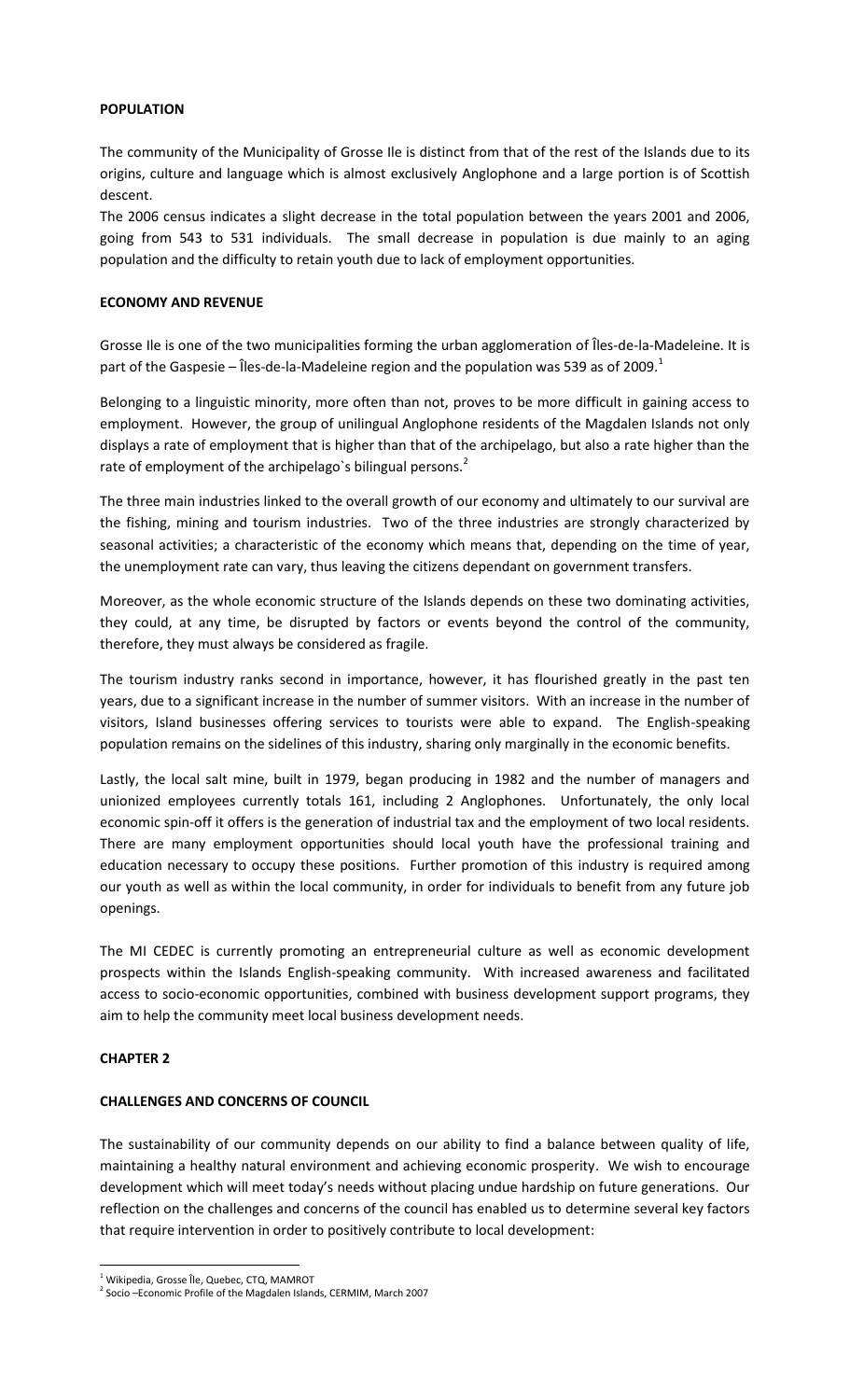## **POPULATION**

The community of the Municipality of Grosse Ile is distinct from that of the rest of the Islands due to its origins, culture and language which is almost exclusively Anglophone and a large portion is of Scottish descent.

The 2006 census indicates a slight decrease in the total population between the years 2001 and 2006, going from 543 to 531 individuals. The small decrease in population is due mainly to an aging population and the difficulty to retain youth due to lack of employment opportunities.

#### **ECONOMY AND REVENUE**

Grosse Ile is one of the two municipalities forming the urban agglomeration of Îles-de-la-Madeleine. It is part of the Gaspesie – Îles-de-la-Madeleine region and the population was 539 as of 2009.<sup>1</sup>

Belonging to a linguistic minority, more often than not, proves to be more difficult in gaining access to employment. However, the group of unilingual Anglophone residents of the Magdalen Islands not only displays a rate of employment that is higher than that of the archipelago, but also a rate higher than the rate of employment of the archipelago's bilingual persons.<sup>2</sup>

The three main industries linked to the overall growth of our economy and ultimately to our survival are the fishing, mining and tourism industries. Two of the three industries are strongly characterized by seasonal activities; a characteristic of the economy which means that, depending on the time of year, the unemployment rate can vary, thus leaving the citizens dependant on government transfers.

Moreover, as the whole economic structure of the Islands depends on these two dominating activities, they could, at any time, be disrupted by factors or events beyond the control of the community, therefore, they must always be considered as fragile.

The tourism industry ranks second in importance, however, it has flourished greatly in the past ten years, due to a significant increase in the number of summer visitors. With an increase in the number of visitors, Island businesses offering services to tourists were able to expand. The English-speaking population remains on the sidelines of this industry, sharing only marginally in the economic benefits.

Lastly, the local salt mine, built in 1979, began producing in 1982 and the number of managers and unionized employees currently totals 161, including 2 Anglophones. Unfortunately, the only local economic spin-off it offers is the generation of industrial tax and the employment of two local residents. There are many employment opportunities should local youth have the professional training and education necessary to occupy these positions. Further promotion of this industry is required among our youth as well as within the local community, in order for individuals to benefit from any future job openings.

The MI CEDEC is currently promoting an entrepreneurial culture as well as economic development prospects within the Islands English-speaking community. With increased awareness and facilitated access to socio-economic opportunities, combined with business development support programs, they aim to help the community meet local business development needs.

# **CHAPTER 2**

 $\overline{a}$ 

# **CHALLENGES AND CONCERNS OF COUNCIL**

The sustainability of our community depends on our ability to find a balance between quality of life, maintaining a healthy natural environment and achieving economic prosperity. We wish to encourage development which will meet today's needs without placing undue hardship on future generations. Our reflection on the challenges and concerns of the council has enabled us to determine several key factors that require intervention in order to positively contribute to local development:

<sup>1</sup> Wikipedia, Grosse Île, Quebec, CTQ, MAMROT

<sup>&</sup>lt;sup>2</sup> Socio –Economic Profile of the Magdalen Islands, CERMIM, March 2007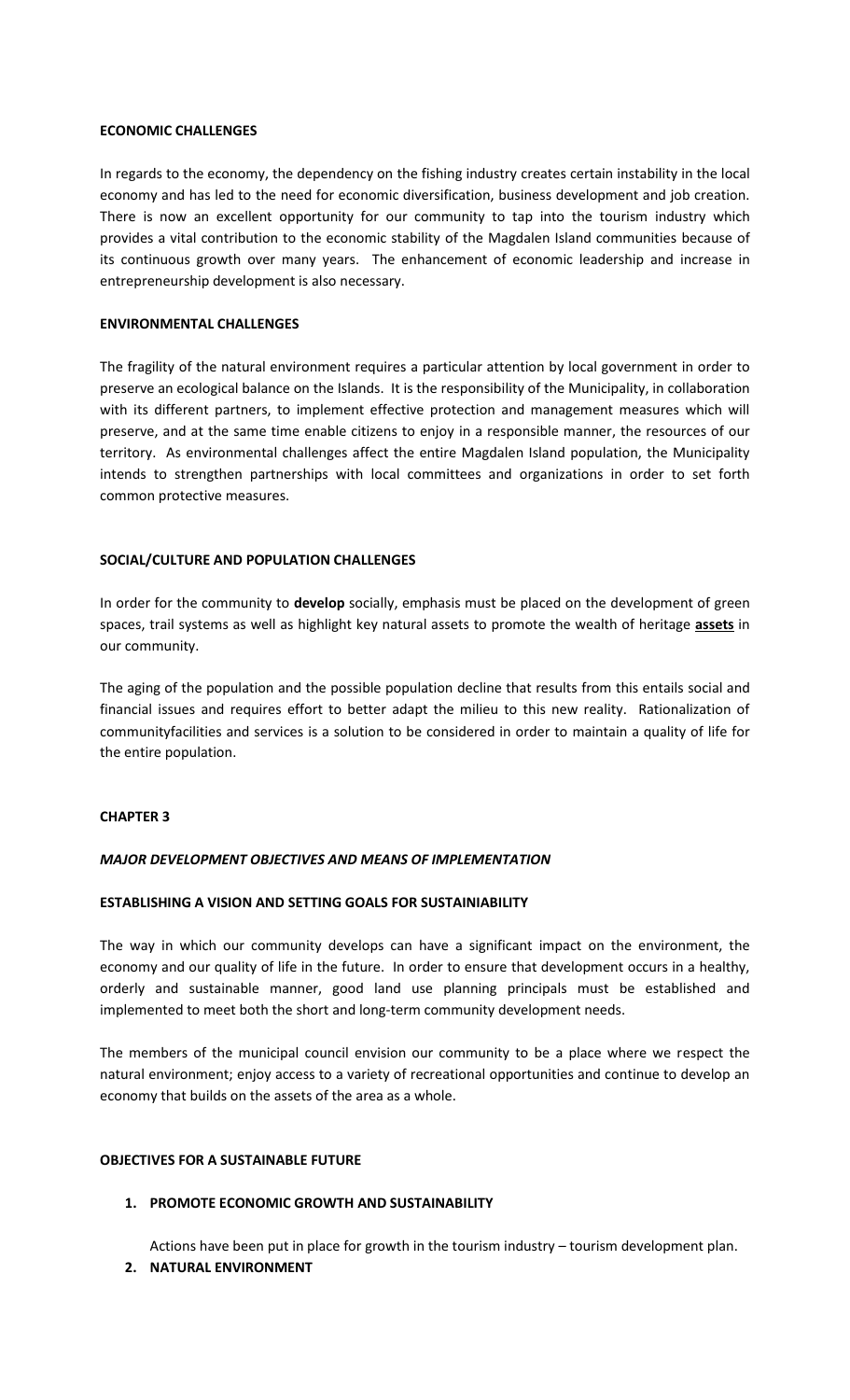#### **ECONOMIC CHALLENGES**

In regards to the economy, the dependency on the fishing industry creates certain instability in the local economy and has led to the need for economic diversification, business development and job creation. There is now an excellent opportunity for our community to tap into the tourism industry which provides a vital contribution to the economic stability of the Magdalen Island communities because of its continuous growth over many years. The enhancement of economic leadership and increase in entrepreneurship development is also necessary.

#### **ENVIRONMENTAL CHALLENGES**

The fragility of the natural environment requires a particular attention by local government in order to preserve an ecological balance on the Islands. It is the responsibility of the Municipality, in collaboration with its different partners, to implement effective protection and management measures which will preserve, and at the same time enable citizens to enjoy in a responsible manner, the resources of our territory. As environmental challenges affect the entire Magdalen Island population, the Municipality intends to strengthen partnerships with local committees and organizations in order to set forth common protective measures.

## **SOCIAL/CULTURE AND POPULATION CHALLENGES**

In order for the community to **develop** socially, emphasis must be placed on the development of green spaces, trail systems as well as highlight key natural assets to promote the wealth of heritage **assets** in our community.

The aging of the population and the possible population decline that results from this entails social and financial issues and requires effort to better adapt the milieu to this new reality. Rationalization of communityfacilities and services is a solution to be considered in order to maintain a quality of life for the entire population.

#### **CHAPTER 3**

#### *MAJOR DEVELOPMENT OBJECTIVES AND MEANS OF IMPLEMENTATION*

#### **ESTABLISHING A VISION AND SETTING GOALS FOR SUSTAINIABILITY**

The way in which our community develops can have a significant impact on the environment, the economy and our quality of life in the future. In order to ensure that development occurs in a healthy, orderly and sustainable manner, good land use planning principals must be established and implemented to meet both the short and long-term community development needs.

The members of the municipal council envision our community to be a place where we respect the natural environment; enjoy access to a variety of recreational opportunities and continue to develop an economy that builds on the assets of the area as a whole.

#### **OBJECTIVES FOR A SUSTAINABLE FUTURE**

#### **1. PROMOTE ECONOMIC GROWTH AND SUSTAINABILITY**

Actions have been put in place for growth in the tourism industry – tourism development plan.

#### **2. NATURAL ENVIRONMENT**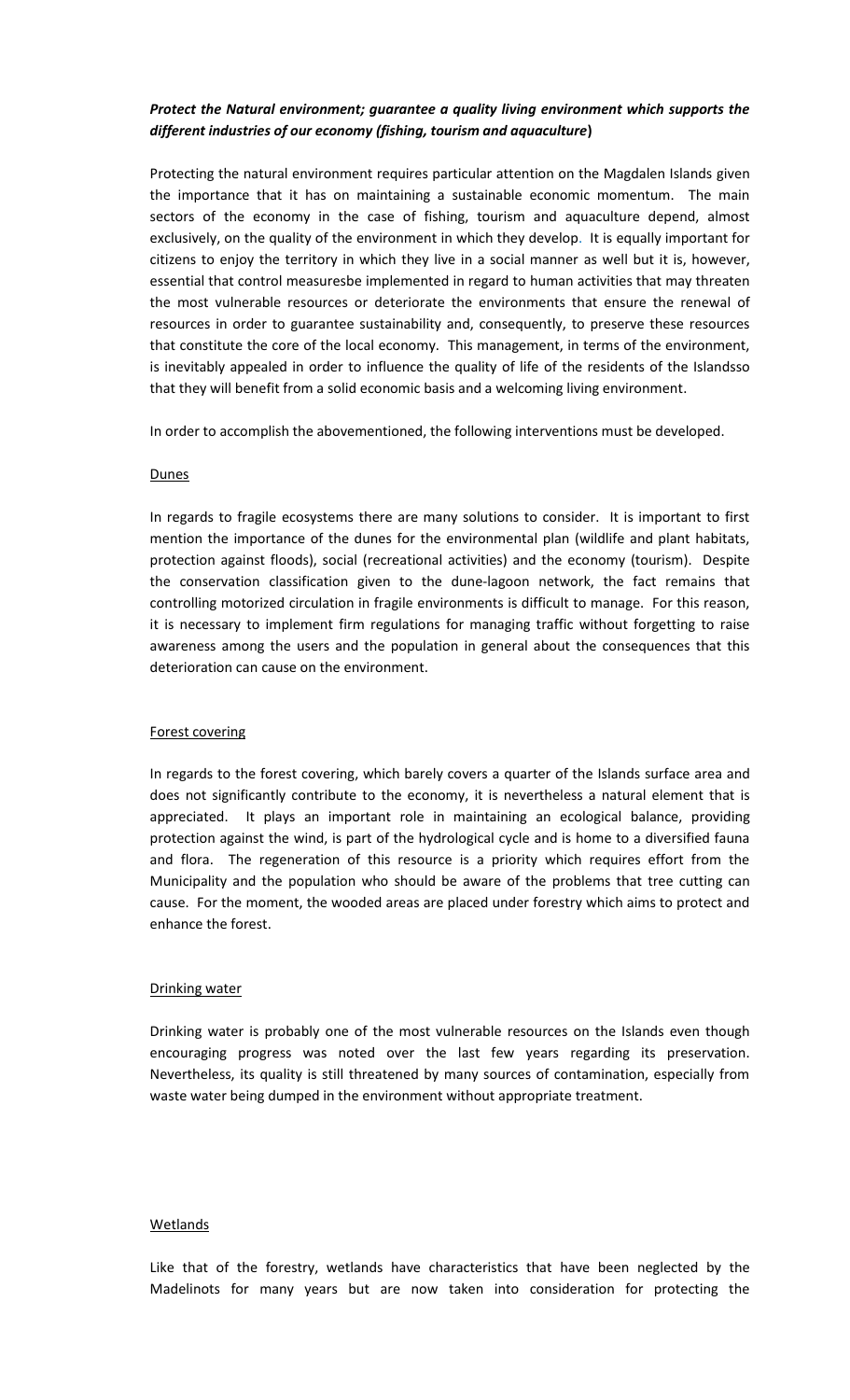# *Protect the Natural environment; guarantee a quality living environment which supports the different industries of our economy (fishing, tourism and aquaculture***)**

Protecting the natural environment requires particular attention on the Magdalen Islands given the importance that it has on maintaining a sustainable economic momentum. The main sectors of the economy in the case of fishing, tourism and aquaculture depend, almost exclusively, on the quality of the environment in which they develop. It is equally important for citizens to enjoy the territory in which they live in a social manner as well but it is, however, essential that control measuresbe implemented in regard to human activities that may threaten the most vulnerable resources or deteriorate the environments that ensure the renewal of resources in order to guarantee sustainability and, consequently, to preserve these resources that constitute the core of the local economy. This management, in terms of the environment, is inevitably appealed in order to influence the quality of life of the residents of the Islandsso that they will benefit from a solid economic basis and a welcoming living environment.

In order to accomplish the abovementioned, the following interventions must be developed.

#### **Dunes**

In regards to fragile ecosystems there are many solutions to consider. It is important to first mention the importance of the dunes for the environmental plan (wildlife and plant habitats, protection against floods), social (recreational activities) and the economy (tourism). Despite the conservation classification given to the dune-lagoon network, the fact remains that controlling motorized circulation in fragile environments is difficult to manage. For this reason, it is necessary to implement firm regulations for managing traffic without forgetting to raise awareness among the users and the population in general about the consequences that this deterioration can cause on the environment.

#### Forest covering

In regards to the forest covering, which barely covers a quarter of the Islands surface area and does not significantly contribute to the economy, it is nevertheless a natural element that is appreciated. It plays an important role in maintaining an ecological balance, providing protection against the wind, is part of the hydrological cycle and is home to a diversified fauna and flora. The regeneration of this resource is a priority which requires effort from the Municipality and the population who should be aware of the problems that tree cutting can cause. For the moment, the wooded areas are placed under forestry which aims to protect and enhance the forest.

#### Drinking water

Drinking water is probably one of the most vulnerable resources on the Islands even though encouraging progress was noted over the last few years regarding its preservation. Nevertheless, its quality is still threatened by many sources of contamination, especially from waste water being dumped in the environment without appropriate treatment.

#### **Wetlands**

Like that of the forestry, wetlands have characteristics that have been neglected by the Madelinots for many years but are now taken into consideration for protecting the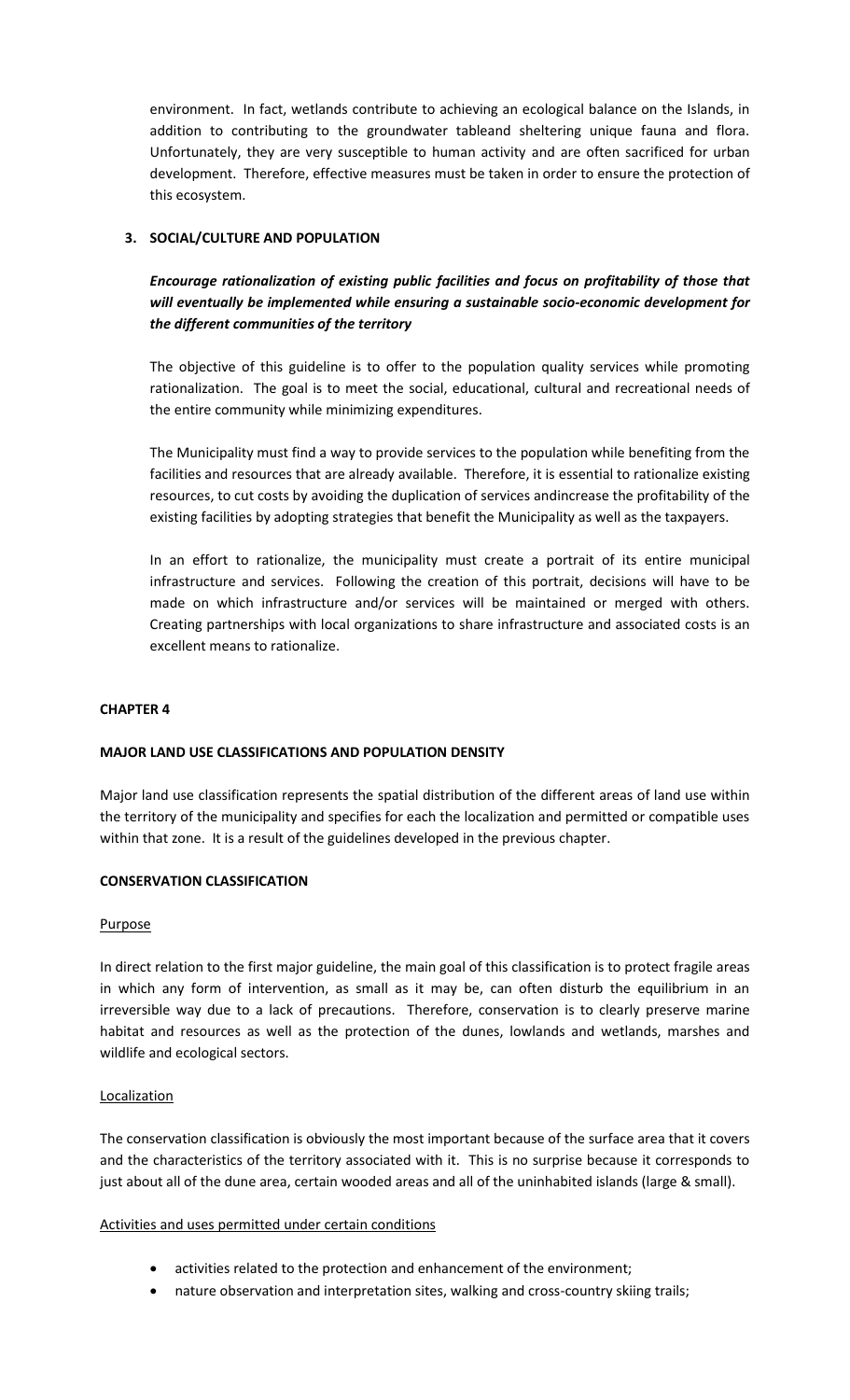environment. In fact, wetlands contribute to achieving an ecological balance on the Islands, in addition to contributing to the groundwater tableand sheltering unique fauna and flora. Unfortunately, they are very susceptible to human activity and are often sacrificed for urban development. Therefore, effective measures must be taken in order to ensure the protection of this ecosystem.

# **3. SOCIAL/CULTURE AND POPULATION**

*Encourage rationalization of existing public facilities and focus on profitability of those that will eventually be implemented while ensuring a sustainable socio-economic development for the different communities of the territory*

The objective of this guideline is to offer to the population quality services while promoting rationalization. The goal is to meet the social, educational, cultural and recreational needs of the entire community while minimizing expenditures.

The Municipality must find a way to provide services to the population while benefiting from the facilities and resources that are already available. Therefore, it is essential to rationalize existing resources, to cut costs by avoiding the duplication of services andincrease the profitability of the existing facilities by adopting strategies that benefit the Municipality as well as the taxpayers.

In an effort to rationalize, the municipality must create a portrait of its entire municipal infrastructure and services. Following the creation of this portrait, decisions will have to be made on which infrastructure and/or services will be maintained or merged with others. Creating partnerships with local organizations to share infrastructure and associated costs is an excellent means to rationalize.

#### **CHAPTER 4**

# **MAJOR LAND USE CLASSIFICATIONS AND POPULATION DENSITY**

Major land use classification represents the spatial distribution of the different areas of land use within the territory of the municipality and specifies for each the localization and permitted or compatible uses within that zone. It is a result of the guidelines developed in the previous chapter.

#### **CONSERVATION CLASSIFICATION**

#### Purpose

In direct relation to the first major guideline, the main goal of this classification is to protect fragile areas in which any form of intervention, as small as it may be, can often disturb the equilibrium in an irreversible way due to a lack of precautions. Therefore, conservation is to clearly preserve marine habitat and resources as well as the protection of the dunes, lowlands and wetlands, marshes and wildlife and ecological sectors.

#### **Localization**

The conservation classification is obviously the most important because of the surface area that it covers and the characteristics of the territory associated with it. This is no surprise because it corresponds to just about all of the dune area, certain wooded areas and all of the uninhabited islands (large & small).

#### Activities and uses permitted under certain conditions

- activities related to the protection and enhancement of the environment;
- nature observation and interpretation sites, walking and cross-country skiing trails;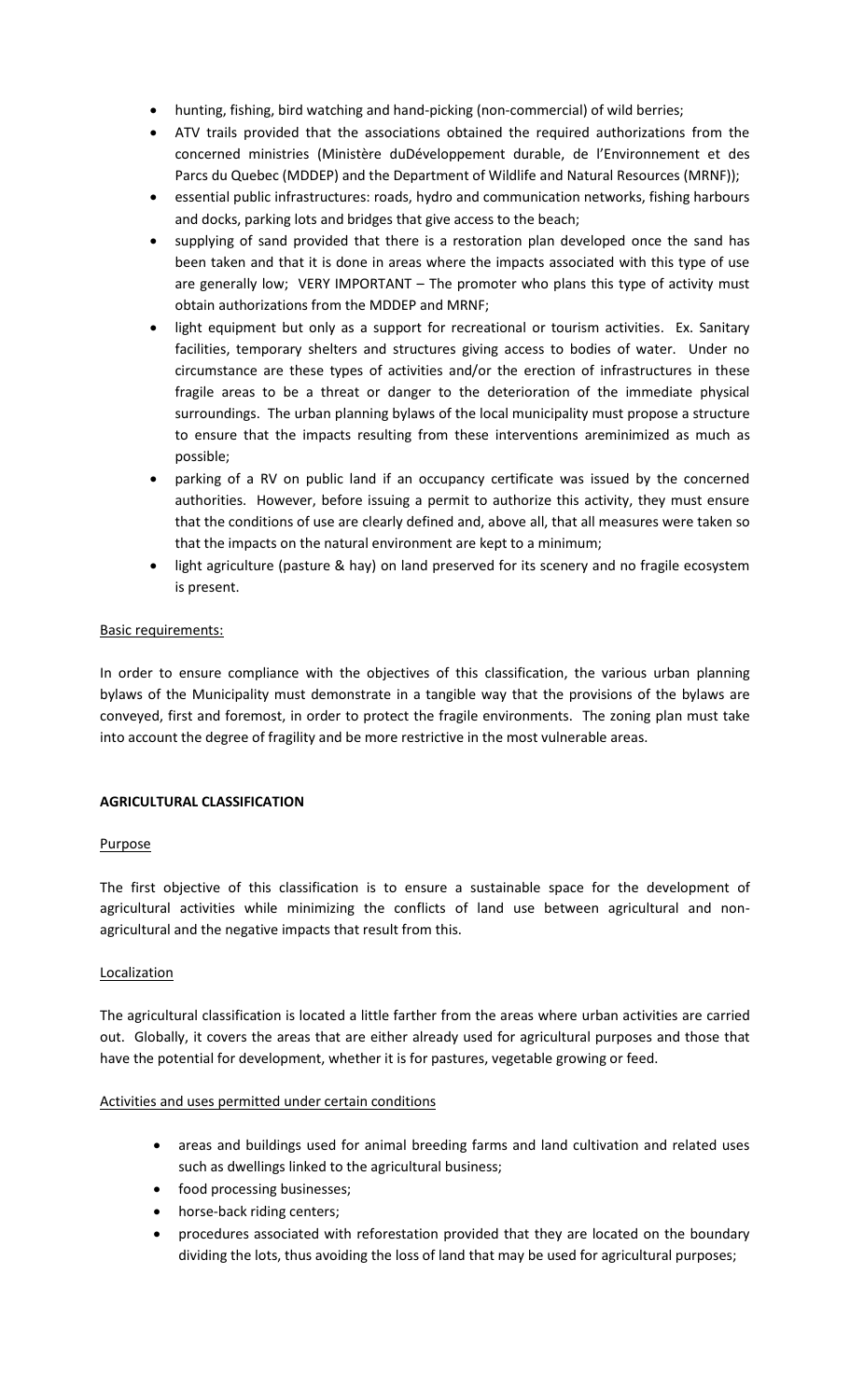- hunting, fishing, bird watching and hand-picking (non-commercial) of wild berries;
- ATV trails provided that the associations obtained the required authorizations from the concerned ministries (Ministère duDéveloppement durable, de l'Environnement et des Parcs du Quebec (MDDEP) and the Department of Wildlife and Natural Resources (MRNF));
- essential public infrastructures: roads, hydro and communication networks, fishing harbours and docks, parking lots and bridges that give access to the beach;
- supplying of sand provided that there is a restoration plan developed once the sand has been taken and that it is done in areas where the impacts associated with this type of use are generally low; VERY IMPORTANT – The promoter who plans this type of activity must obtain authorizations from the MDDEP and MRNF;
- light equipment but only as a support for recreational or tourism activities. Ex. Sanitary facilities, temporary shelters and structures giving access to bodies of water. Under no circumstance are these types of activities and/or the erection of infrastructures in these fragile areas to be a threat or danger to the deterioration of the immediate physical surroundings. The urban planning bylaws of the local municipality must propose a structure to ensure that the impacts resulting from these interventions areminimized as much as possible;
- parking of a RV on public land if an occupancy certificate was issued by the concerned authorities. However, before issuing a permit to authorize this activity, they must ensure that the conditions of use are clearly defined and, above all, that all measures were taken so that the impacts on the natural environment are kept to a minimum;
- light agriculture (pasture & hay) on land preserved for its scenery and no fragile ecosystem is present.

# Basic requirements:

In order to ensure compliance with the objectives of this classification, the various urban planning bylaws of the Municipality must demonstrate in a tangible way that the provisions of the bylaws are conveyed, first and foremost, in order to protect the fragile environments. The zoning plan must take into account the degree of fragility and be more restrictive in the most vulnerable areas.

# **AGRICULTURAL CLASSIFICATION**

# Purpose

The first objective of this classification is to ensure a sustainable space for the development of agricultural activities while minimizing the conflicts of land use between agricultural and nonagricultural and the negative impacts that result from this.

# **Localization**

The agricultural classification is located a little farther from the areas where urban activities are carried out. Globally, it covers the areas that are either already used for agricultural purposes and those that have the potential for development, whether it is for pastures, vegetable growing or feed.

#### Activities and uses permitted under certain conditions

- areas and buildings used for animal breeding farms and land cultivation and related uses such as dwellings linked to the agricultural business;
- food processing businesses;
- horse-back riding centers;
- procedures associated with reforestation provided that they are located on the boundary dividing the lots, thus avoiding the loss of land that may be used for agricultural purposes;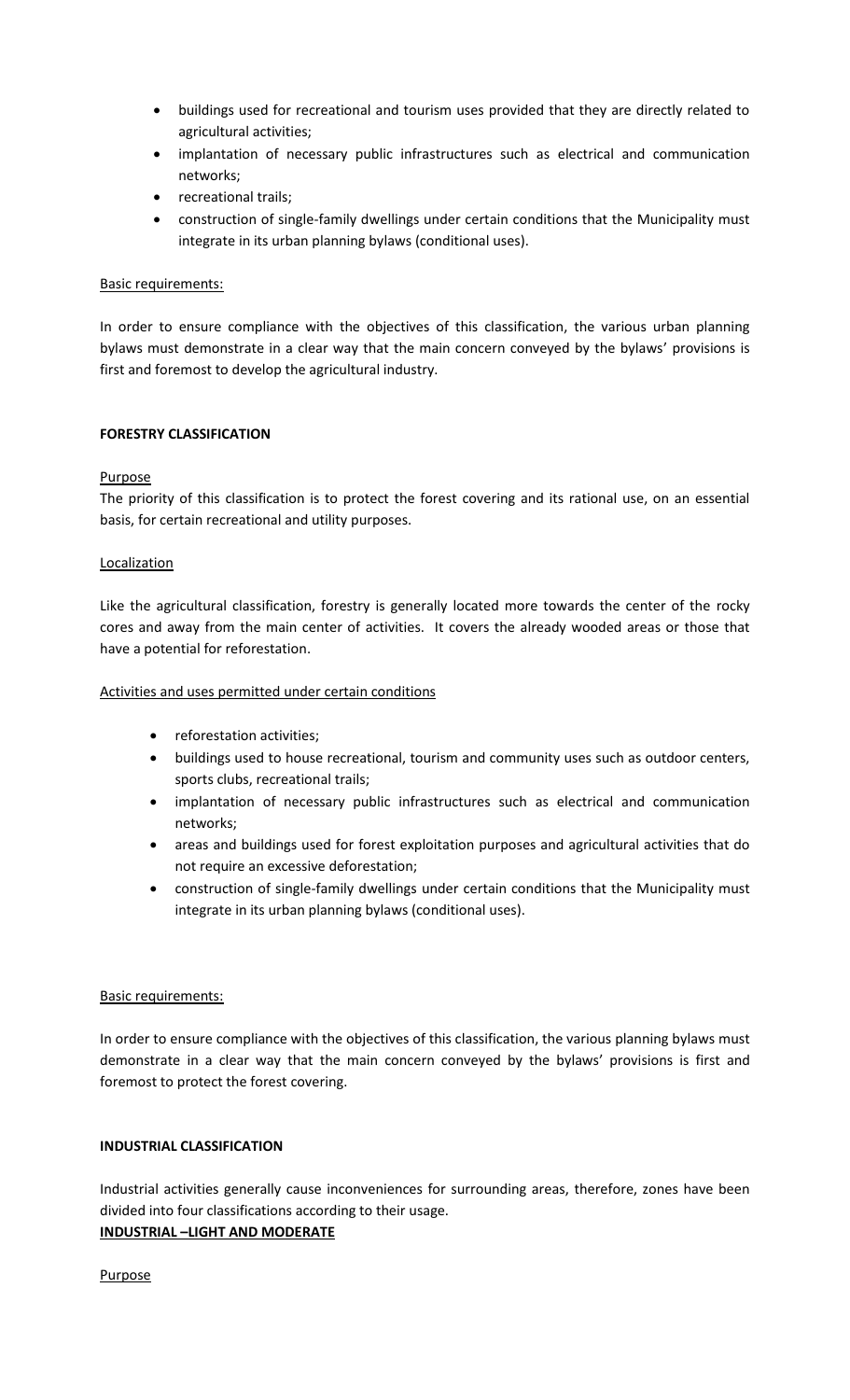- buildings used for recreational and tourism uses provided that they are directly related to agricultural activities;
- implantation of necessary public infrastructures such as electrical and communication networks;
- recreational trails:
- construction of single-family dwellings under certain conditions that the Municipality must integrate in its urban planning bylaws (conditional uses).

## Basic requirements:

In order to ensure compliance with the objectives of this classification, the various urban planning bylaws must demonstrate in a clear way that the main concern conveyed by the bylaws' provisions is first and foremost to develop the agricultural industry.

## **FORESTRY CLASSIFICATION**

## Purpose

The priority of this classification is to protect the forest covering and its rational use, on an essential basis, for certain recreational and utility purposes.

## **Localization**

Like the agricultural classification, forestry is generally located more towards the center of the rocky cores and away from the main center of activities. It covers the already wooded areas or those that have a potential for reforestation.

## Activities and uses permitted under certain conditions

- reforestation activities;
- buildings used to house recreational, tourism and community uses such as outdoor centers, sports clubs, recreational trails;
- implantation of necessary public infrastructures such as electrical and communication networks;
- areas and buildings used for forest exploitation purposes and agricultural activities that do not require an excessive deforestation;
- construction of single-family dwellings under certain conditions that the Municipality must integrate in its urban planning bylaws (conditional uses).

#### Basic requirements:

In order to ensure compliance with the objectives of this classification, the various planning bylaws must demonstrate in a clear way that the main concern conveyed by the bylaws' provisions is first and foremost to protect the forest covering.

#### **INDUSTRIAL CLASSIFICATION**

Industrial activities generally cause inconveniences for surrounding areas, therefore, zones have been divided into four classifications according to their usage.

#### **INDUSTRIAL –LIGHT AND MODERATE**

Purpose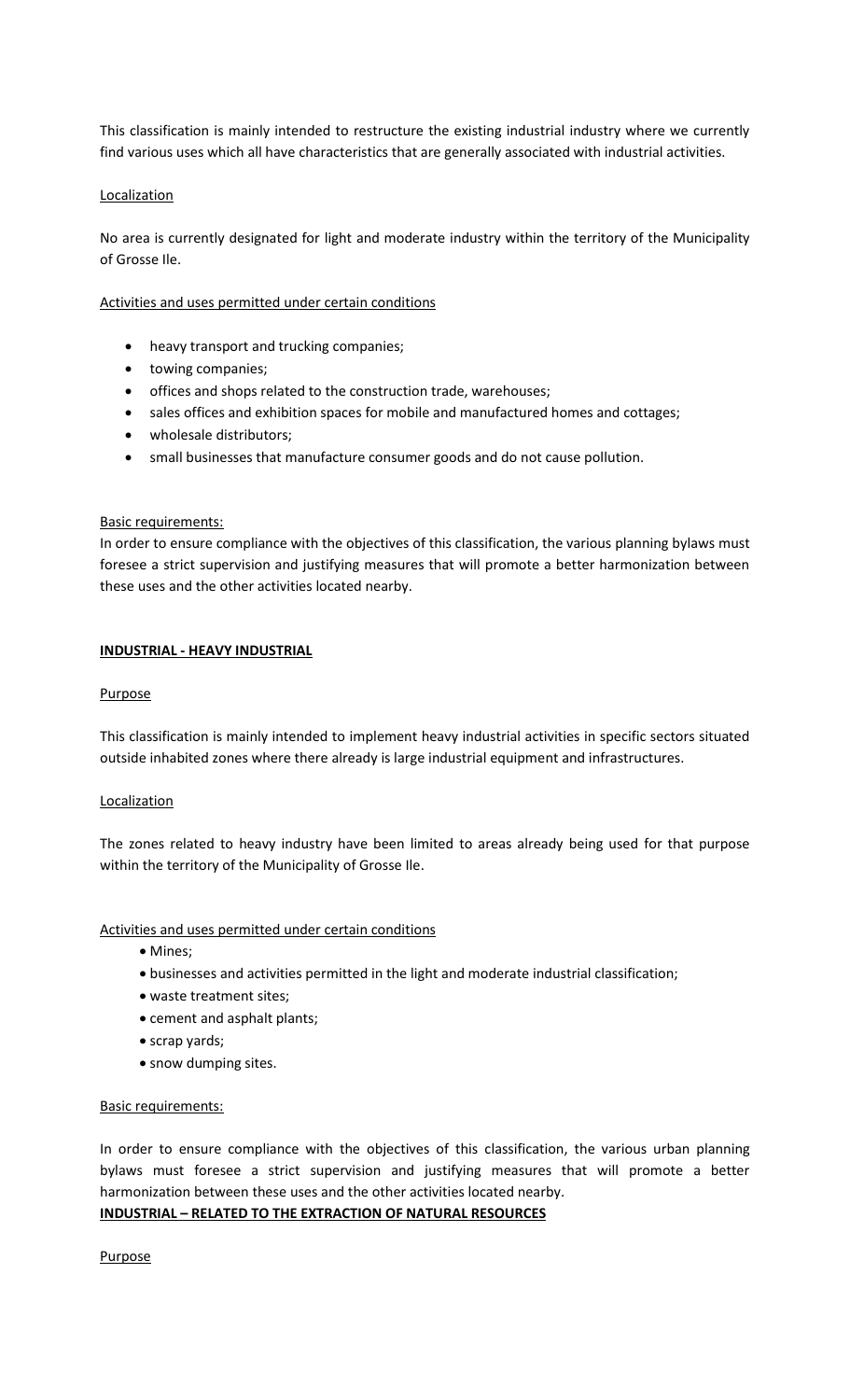This classification is mainly intended to restructure the existing industrial industry where we currently find various uses which all have characteristics that are generally associated with industrial activities.

## Localization

No area is currently designated for light and moderate industry within the territory of the Municipality of Grosse Ile.

Activities and uses permitted under certain conditions

- heavy transport and trucking companies;
- towing companies;
- offices and shops related to the construction trade, warehouses;
- sales offices and exhibition spaces for mobile and manufactured homes and cottages;
- wholesale distributors;
- small businesses that manufacture consumer goods and do not cause pollution.

#### Basic requirements:

In order to ensure compliance with the objectives of this classification, the various planning bylaws must foresee a strict supervision and justifying measures that will promote a better harmonization between these uses and the other activities located nearby.

#### **INDUSTRIAL - HEAVY INDUSTRIAL**

#### Purpose

This classification is mainly intended to implement heavy industrial activities in specific sectors situated outside inhabited zones where there already is large industrial equipment and infrastructures.

#### **Localization**

The zones related to heavy industry have been limited to areas already being used for that purpose within the territory of the Municipality of Grosse Ile.

Activities and uses permitted under certain conditions

- Mines:
- businesses and activities permitted in the light and moderate industrial classification;
- waste treatment sites;
- cement and asphalt plants;
- scrap yards;
- snow dumping sites.

#### Basic requirements:

In order to ensure compliance with the objectives of this classification, the various urban planning bylaws must foresee a strict supervision and justifying measures that will promote a better harmonization between these uses and the other activities located nearby.

# **INDUSTRIAL – RELATED TO THE EXTRACTION OF NATURAL RESOURCES**

Purpose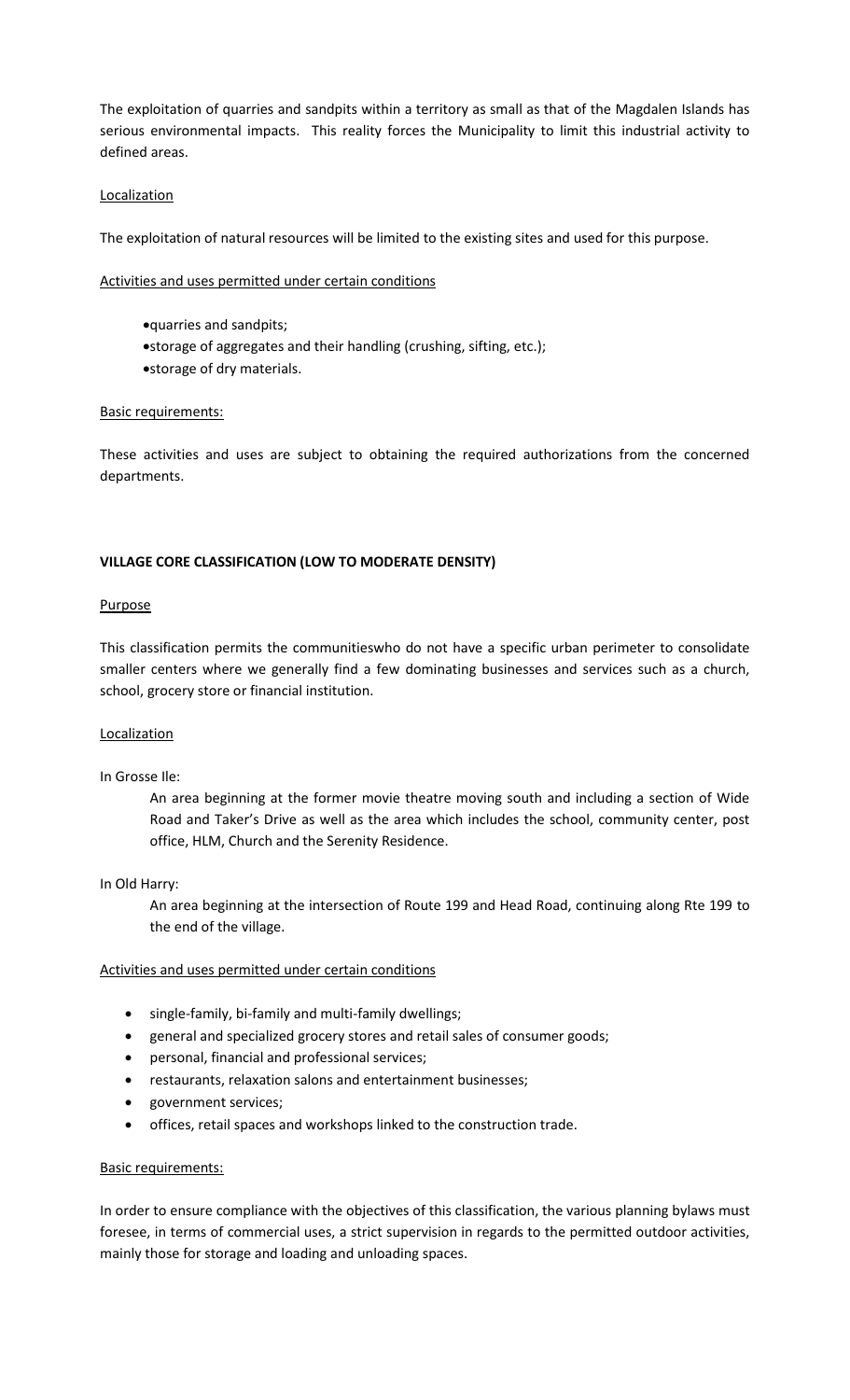The exploitation of quarries and sandpits within a territory as small as that of the Magdalen Islands has serious environmental impacts. This reality forces the Municipality to limit this industrial activity to defined areas.

## Localization

The exploitation of natural resources will be limited to the existing sites and used for this purpose.

Activities and uses permitted under certain conditions

- quarries and sandpits;
- storage of aggregates and their handling (crushing, sifting, etc.);
- storage of dry materials.

#### Basic requirements:

These activities and uses are subject to obtaining the required authorizations from the concerned departments.

## **VILLAGE CORE CLASSIFICATION (LOW TO MODERATE DENSITY)**

#### Purpose

This classification permits the communitieswho do not have a specific urban perimeter to consolidate smaller centers where we generally find a few dominating businesses and services such as a church, school, grocery store or financial institution.

#### Localization

#### In Grosse Ile:

An area beginning at the former movie theatre moving south and including a section of Wide Road and Taker's Drive as well as the area which includes the school, community center, post office, HLM, Church and the Serenity Residence.

#### In Old Harry:

An area beginning at the intersection of Route 199 and Head Road, continuing along Rte 199 to the end of the village.

#### Activities and uses permitted under certain conditions

- single-family, bi-family and multi-family dwellings;
- general and specialized grocery stores and retail sales of consumer goods;
- personal, financial and professional services;
- restaurants, relaxation salons and entertainment businesses;
- government services;
- offices, retail spaces and workshops linked to the construction trade.

#### Basic requirements:

In order to ensure compliance with the objectives of this classification, the various planning bylaws must foresee, in terms of commercial uses, a strict supervision in regards to the permitted outdoor activities, mainly those for storage and loading and unloading spaces.